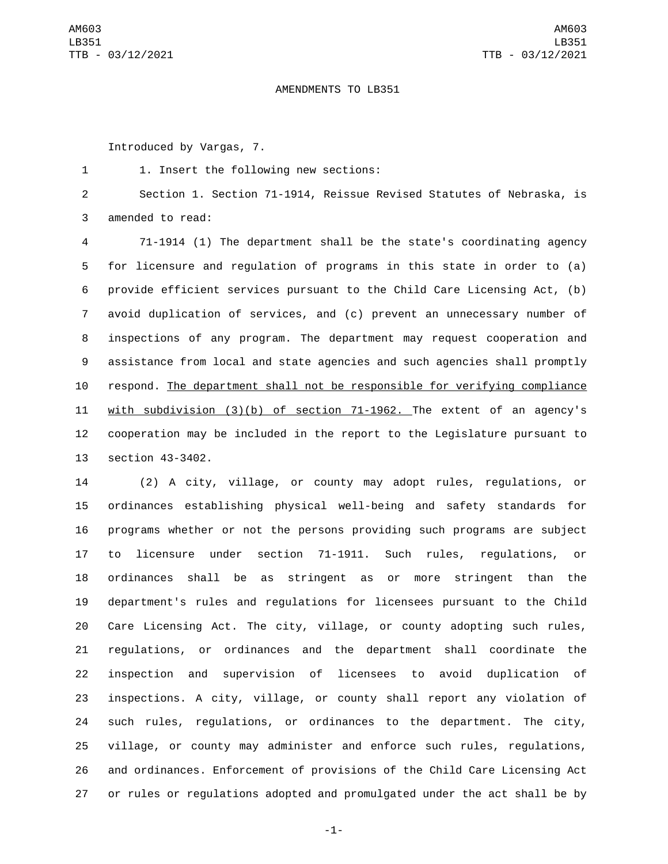## AMENDMENTS TO LB351

Introduced by Vargas, 7.

1. Insert the following new sections:1

 Section 1. Section 71-1914, Reissue Revised Statutes of Nebraska, is 3 amended to read:

 71-1914 (1) The department shall be the state's coordinating agency for licensure and regulation of programs in this state in order to (a) provide efficient services pursuant to the Child Care Licensing Act, (b) avoid duplication of services, and (c) prevent an unnecessary number of inspections of any program. The department may request cooperation and assistance from local and state agencies and such agencies shall promptly respond. The department shall not be responsible for verifying compliance with subdivision (3)(b) of section 71-1962. The extent of an agency's cooperation may be included in the report to the Legislature pursuant to 13 section 43-3402.

 (2) A city, village, or county may adopt rules, regulations, or ordinances establishing physical well-being and safety standards for programs whether or not the persons providing such programs are subject to licensure under section 71-1911. Such rules, regulations, or ordinances shall be as stringent as or more stringent than the department's rules and regulations for licensees pursuant to the Child Care Licensing Act. The city, village, or county adopting such rules, regulations, or ordinances and the department shall coordinate the inspection and supervision of licensees to avoid duplication of inspections. A city, village, or county shall report any violation of such rules, regulations, or ordinances to the department. The city, village, or county may administer and enforce such rules, regulations, and ordinances. Enforcement of provisions of the Child Care Licensing Act or rules or regulations adopted and promulgated under the act shall be by

-1-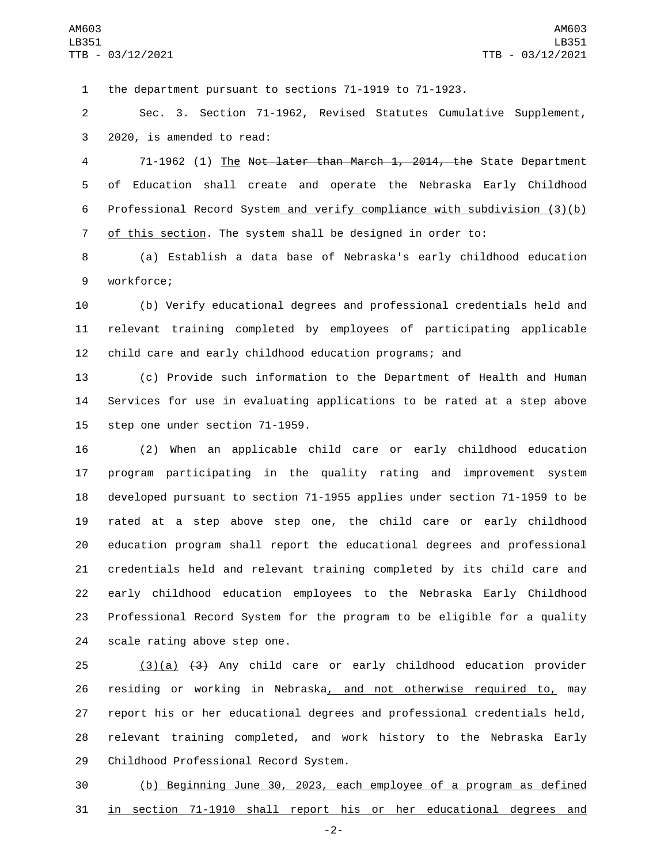the department pursuant to sections 71-1919 to 71-1923.

 Sec. 3. Section 71-1962, Revised Statutes Cumulative Supplement, 3 2020, is amended to read:

 71-1962 (1) The Not later than March 1, 2014, the State Department of Education shall create and operate the Nebraska Early Childhood Professional Record System and verify compliance with subdivision (3)(b) of this section. The system shall be designed in order to:

 (a) Establish a data base of Nebraska's early childhood education 9 workforce;

 (b) Verify educational degrees and professional credentials held and relevant training completed by employees of participating applicable child care and early childhood education programs; and

 (c) Provide such information to the Department of Health and Human Services for use in evaluating applications to be rated at a step above 15 step one under section 71-1959.

 (2) When an applicable child care or early childhood education program participating in the quality rating and improvement system developed pursuant to section 71-1955 applies under section 71-1959 to be rated at a step above step one, the child care or early childhood education program shall report the educational degrees and professional credentials held and relevant training completed by its child care and early childhood education employees to the Nebraska Early Childhood Professional Record System for the program to be eligible for a quality 24 scale rating above step one.

 (3)(a)  $(3)$  Any child care or early childhood education provider 26 residing or working in Nebraska, and not otherwise required to, may report his or her educational degrees and professional credentials held, relevant training completed, and work history to the Nebraska Early 29 Childhood Professional Record System.

 (b) Beginning June 30, 2023, each employee of a program as defined in section 71-1910 shall report his or her educational degrees and

-2-